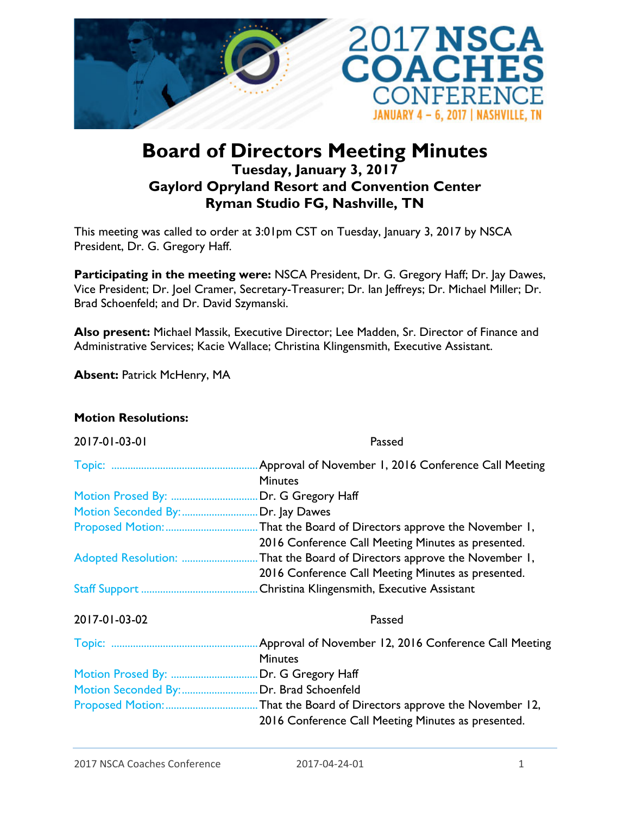

## **Board of Directors Meeting Minutes Tuesday, January 3, 2017 Gaylord Opryland Resort and Convention Center Ryman Studio FG, Nashville, TN**

This meeting was called to order at 3:01pm CST on Tuesday, January 3, 2017 by NSCA President, Dr. G. Gregory Haff.

**Participating in the meeting were:** NSCA President, Dr. G. Gregory Haff; Dr. Jay Dawes, Vice President; Dr. Joel Cramer, Secretary-Treasurer; Dr. Ian Jeffreys; Dr. Michael Miller; Dr. Brad Schoenfeld; and Dr. David Szymanski.

**Also present:** Michael Massik, Executive Director; Lee Madden, Sr. Director of Finance and Administrative Services; Kacie Wallace; Christina Klingensmith, Executive Assistant.

**Absent:** Patrick McHenry, MA

## **Motion Resolutions:**

| 2017-01-03-01                            | Passed                                                 |
|------------------------------------------|--------------------------------------------------------|
|                                          | Approval of November 1, 2016 Conference Call Meeting   |
|                                          | <b>Minutes</b>                                         |
| Motion Prosed By:                        | Dr. G Gregory Haff                                     |
| Motion Seconded By:                      | Dr. Jay Dawes                                          |
|                                          | That the Board of Directors approve the November I,    |
|                                          | 2016 Conference Call Meeting Minutes as presented.     |
| Adopted Resolution:                      | That the Board of Directors approve the November 1,    |
|                                          | 2016 Conference Call Meeting Minutes as presented.     |
|                                          |                                                        |
| 2017-01-03-02                            | Passed                                                 |
|                                          | Approval of November 12, 2016 Conference Call Meeting  |
|                                          | <b>Minutes</b>                                         |
| Motion Prosed By:                        | Dr. G Gregory Haff                                     |
| Motion Seconded By:  Dr. Brad Schoenfeld |                                                        |
|                                          | . That the Board of Directors approve the November 12, |
|                                          | 2016 Conference Call Meeting Minutes as presented.     |